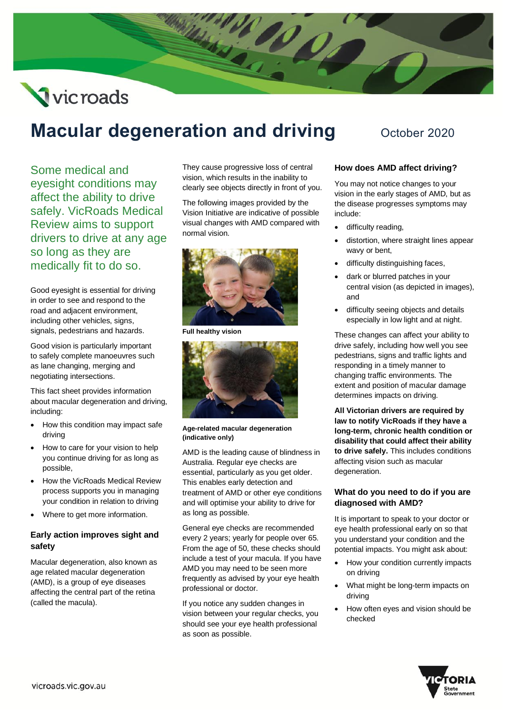# Vicroads

# **Macular degeneration and driving** October 2020

Some medical and eyesight conditions may affect the ability to drive safely. VicRoads Medical Review aims to support drivers to drive at any age so long as they are medically fit to do so.

Good eyesight is essential for driving in order to see and respond to the road and adjacent environment, including other vehicles, signs, signals, pedestrians and hazards.

Good vision is particularly important to safely complete manoeuvres such as lane changing, merging and negotiating intersections.

This fact sheet provides information about macular degeneration and driving, including:

- How this condition may impact safe driving
- How to care for your vision to help you continue driving for as long as possible,
- How the VicRoads Medical Review process supports you in managing your condition in relation to driving
- Where to get more information.

# **Early action improves sight and safety**

Macular degeneration, also known as age related macular degeneration (AMD), is a group of eye diseases affecting the central part of the retina (called the macula).

They cause progressive loss of central vision, which results in the inability to clearly see objects directly in front of you.

The following images provided by the Vision Initiative are indicative of possible visual changes with AMD compared with normal vision.



**Full healthy vision**



**Age-related macular degeneration (indicative only)** 

AMD is the leading cause of blindness in Australia. Regular eye checks are essential, particularly as you get older. This enables early detection and treatment of AMD or other eye conditions and will optimise your ability to drive for as long as possible.

General eye checks are recommended every 2 years; yearly for people over 65. From the age of 50, these checks should include a test of your macula. If you have AMD you may need to be seen more frequently as advised by your eye health professional or doctor.

If you notice any sudden changes in vision between your regular checks, you should see your eye health professional as soon as possible.

# **How does AMD affect driving?**

You may not notice changes to your vision in the early stages of AMD, but as the disease progresses symptoms may include:

- difficulty reading,
- distortion, where straight lines appear wavy or bent,
- difficulty distinguishing faces,
- dark or blurred patches in your central vision (as depicted in images), and
- difficulty seeing objects and details especially in low light and at night.

These changes can affect your ability to drive safely, including how well you see pedestrians, signs and traffic lights and responding in a timely manner to changing traffic environments. The extent and position of macular damage determines impacts on driving.

**All Victorian drivers are required by law to notify VicRoads if they have a long-term, chronic health condition or disability that could affect their ability to drive safely.** This includes conditions affecting vision such as macular degeneration.

# **What do you need to do if you are diagnosed with AMD?**

It is important to speak to your doctor or eye health professional early on so that you understand your condition and the potential impacts. You might ask about:

- How your condition currently impacts on driving
- What might be long-term impacts on driving
- How often eyes and vision should be checked